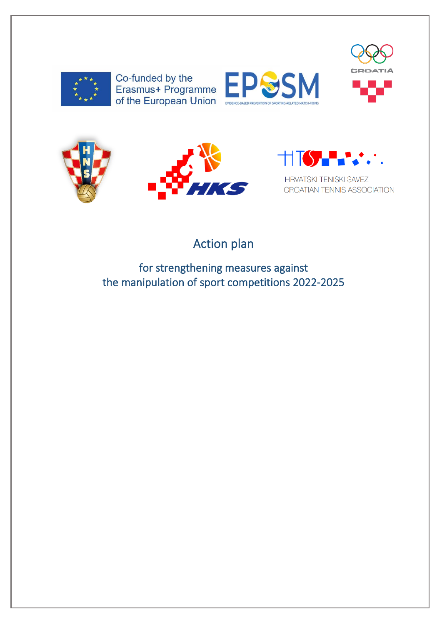

Co-funded by the<br>Erasmus+ Programme of the European Union











**HRVATSKI TENISKI SAVEZ** CROATIAN TENNIS ASSOCIATION

# Action plan

for strengthening measures against the manipulation of sport competitions 2022-2025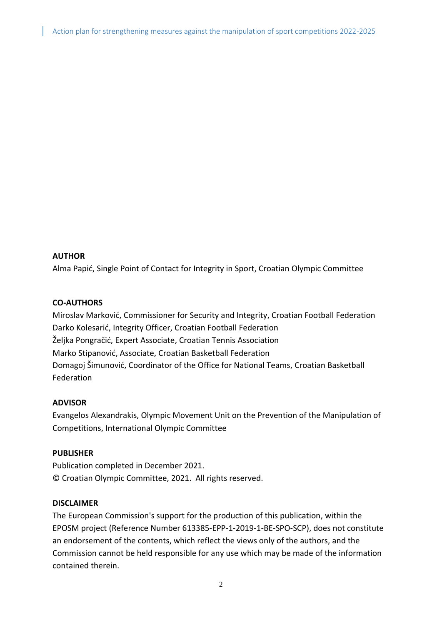#### **AUTHOR**

Alma Papić, Single Point of Contact for Integrity in Sport, Croatian Olympic Committee

#### **CO-AUTHORS**

Miroslav Marković, Commissioner for Security and Integrity, Croatian Football Federation Darko Kolesarić, Integrity Officer, Croatian Football Federation Željka Pongračić, Expert Associate, Croatian Tennis Association Marko Stipanović, Associate, Croatian Basketball Federation Domagoj Šimunović, Coordinator of the Office for National Teams, Croatian Basketball Federation

#### **ADVISOR**

Evangelos Alexandrakis, Olympic Movement Unit on the Prevention of the Manipulation of Competitions, International Olympic Committee

#### **PUBLISHER**

Publication completed in December 2021. © Croatian Olympic Committee, 2021. All rights reserved.

#### **DISCLAIMER**

The European Commission's support for the production of this publication, within the EPOSM project (Reference Number 613385-EPP-1-2019-1-BE-SPO-SCP), does not constitute an endorsement of the contents, which reflect the views only of the authors, and the Commission cannot be held responsible for any use which may be made of the information contained therein.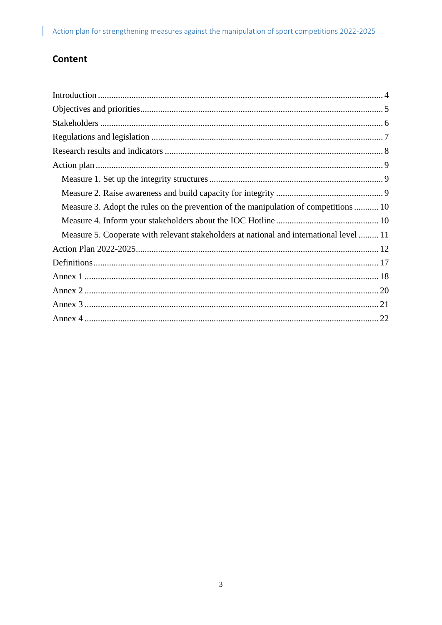## Content

 $\mathsf{I}$ 

| Measure 3. Adopt the rules on the prevention of the manipulation of competitions 10     |
|-----------------------------------------------------------------------------------------|
|                                                                                         |
| Measure 5. Cooperate with relevant stakeholders at national and international level  11 |
|                                                                                         |
|                                                                                         |
|                                                                                         |
|                                                                                         |
|                                                                                         |
|                                                                                         |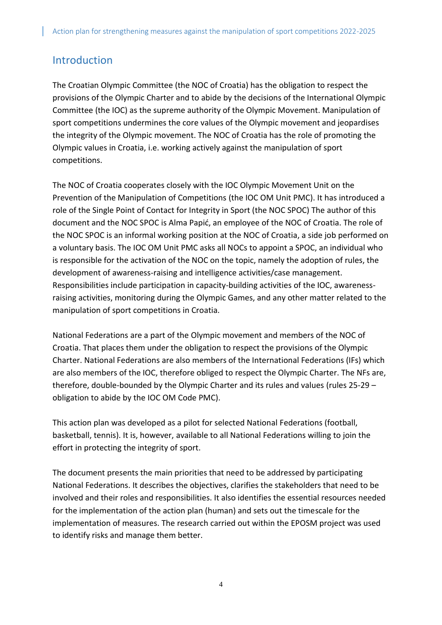## <span id="page-3-0"></span>Introduction

The Croatian Olympic Committee (the NOC of Croatia) has the obligation to respect the provisions of the Olympic Charter and to abide by the decisions of the International Olympic Committee (the IOC) as the supreme authority of the Olympic Movement. Manipulation of sport competitions undermines the core values of the Olympic movement and jeopardises the integrity of the Olympic movement. The NOC of Croatia has the role of promoting the Olympic values in Croatia, i.e. working actively against the manipulation of sport competitions.

The NOC of Croatia cooperates closely with the IOC Olympic Movement Unit on the Prevention of the Manipulation of Competitions (the IOC OM Unit PMC). It has introduced a role of the Single Point of Contact for Integrity in Sport (the NOC SPOC) The author of this document and the NOC SPOC is Alma Papić, an employee of the NOC of Croatia. The role of the NOC SPOC is an informal working position at the NOC of Croatia, a side job performed on a voluntary basis. The IOC OM Unit PMC asks all NOCs to appoint a SPOC, an individual who is responsible for the activation of the NOC on the topic, namely the adoption of rules, the development of awareness-raising and intelligence activities/case management. Responsibilities include participation in capacity-building activities of the IOC, awarenessraising activities, monitoring during the Olympic Games, and any other matter related to the manipulation of sport competitions in Croatia.

National Federations are a part of the Olympic movement and members of the NOC of Croatia. That places them under the obligation to respect the provisions of the Olympic Charter. National Federations are also members of the International Federations (IFs) which are also members of the IOC, therefore obliged to respect the Olympic Charter. The NFs are, therefore, double-bounded by the Olympic Charter and its rules and values (rules 25-29 – obligation to abide by the IOC OM Code PMC).

This action plan was developed as a pilot for selected National Federations (football, basketball, tennis). It is, however, available to all National Federations willing to join the effort in protecting the integrity of sport.

The document presents the main priorities that need to be addressed by participating National Federations. It describes the objectives, clarifies the stakeholders that need to be involved and their roles and responsibilities. It also identifies the essential resources needed for the implementation of the action plan (human) and sets out the timescale for the implementation of measures. The research carried out within the EPOSM project was used to identify risks and manage them better.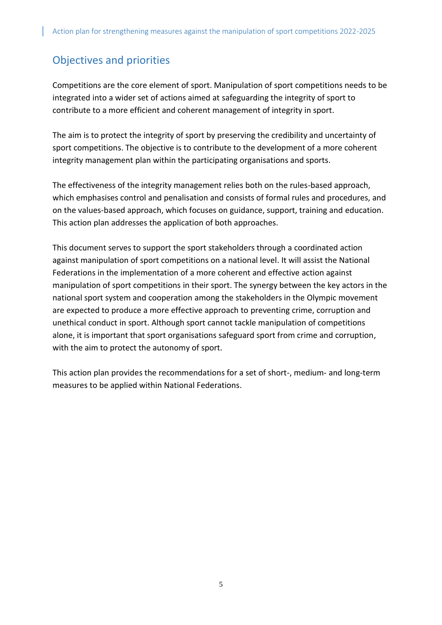## <span id="page-4-0"></span>Objectives and priorities

Competitions are the core element of sport. Manipulation of sport competitions needs to be integrated into a wider set of actions aimed at safeguarding the integrity of sport to contribute to a more efficient and coherent management of integrity in sport.

The aim is to protect the integrity of sport by preserving the credibility and uncertainty of sport competitions. The objective is to contribute to the development of a more coherent integrity management plan within the participating organisations and sports.

The effectiveness of the integrity management relies both on the rules-based approach, which emphasises control and penalisation and consists of formal rules and procedures, and on the values-based approach, which focuses on guidance, support, training and education. This action plan addresses the application of both approaches.

This document serves to support the sport stakeholders through a coordinated action against manipulation of sport competitions on a national level. It will assist the National Federations in the implementation of a more coherent and effective action against manipulation of sport competitions in their sport. The synergy between the key actors in the national sport system and cooperation among the stakeholders in the Olympic movement are expected to produce a more effective approach to preventing crime, corruption and unethical conduct in sport. Although sport cannot tackle manipulation of competitions alone, it is important that sport organisations safeguard sport from crime and corruption, with the aim to protect the autonomy of sport.

This action plan provides the recommendations for a set of short-, medium- and long-term measures to be applied within National Federations.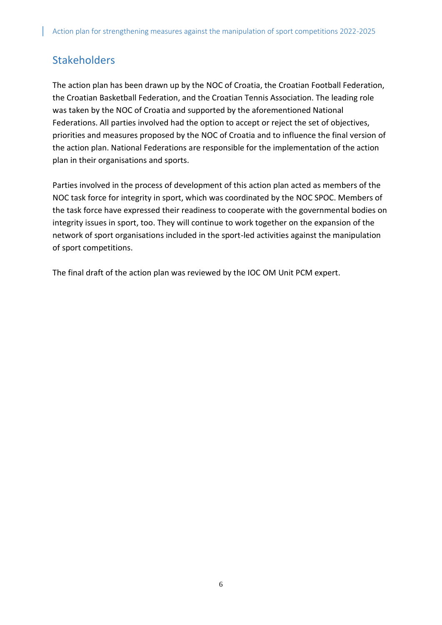## <span id="page-5-0"></span>**Stakeholders**

The action plan has been drawn up by the NOC of Croatia, the Croatian Football Federation, the Croatian Basketball Federation, and the Croatian Tennis Association. The leading role was taken by the NOC of Croatia and supported by the aforementioned National Federations. All parties involved had the option to accept or reject the set of objectives, priorities and measures proposed by the NOC of Croatia and to influence the final version of the action plan. National Federations are responsible for the implementation of the action plan in their organisations and sports.

Parties involved in the process of development of this action plan acted as members of the NOC task force for integrity in sport, which was coordinated by the NOC SPOC. Members of the task force have expressed their readiness to cooperate with the governmental bodies on integrity issues in sport, too. They will continue to work together on the expansion of the network of sport organisations included in the sport-led activities against the manipulation of sport competitions.

The final draft of the action plan was reviewed by the IOC OM Unit PCM expert.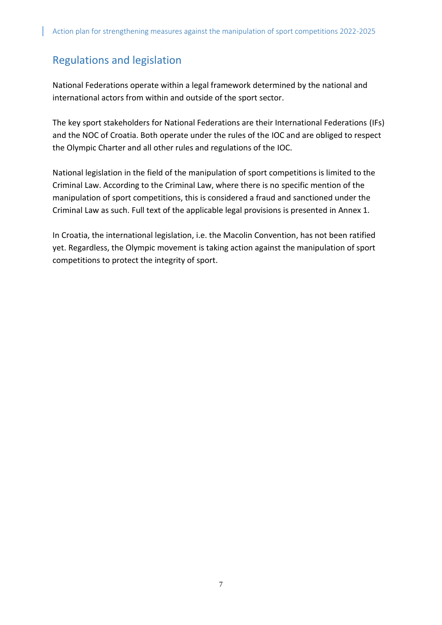## <span id="page-6-0"></span>Regulations and legislation

National Federations operate within a legal framework determined by the national and international actors from within and outside of the sport sector.

The key sport stakeholders for National Federations are their International Federations (IFs) and the NOC of Croatia. Both operate under the rules of the IOC and are obliged to respect the Olympic Charter and all other rules and regulations of the IOC.

National legislation in the field of the manipulation of sport competitions is limited to the Criminal Law. According to the Criminal Law, where there is no specific mention of the manipulation of sport competitions, this is considered a fraud and sanctioned under the Criminal Law as such. Full text of the applicable legal provisions is presented in Annex 1.

In Croatia, the international legislation, i.e. the Macolin Convention, has not been ratified yet. Regardless, the Olympic movement is taking action against the manipulation of sport competitions to protect the integrity of sport.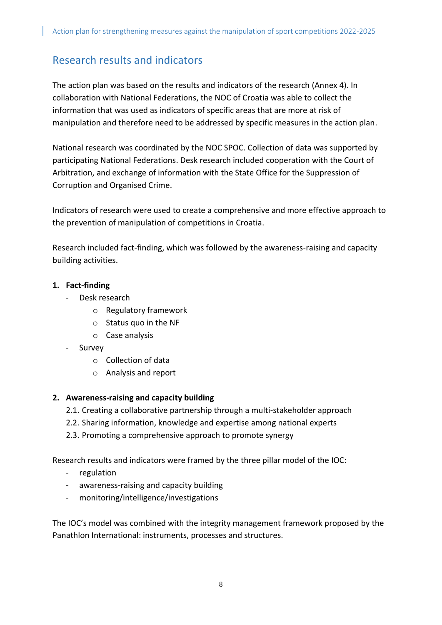## <span id="page-7-0"></span>Research results and indicators

The action plan was based on the results and indicators of the research (Annex 4). In collaboration with National Federations, the NOC of Croatia was able to collect the information that was used as indicators of specific areas that are more at risk of manipulation and therefore need to be addressed by specific measures in the action plan.

National research was coordinated by the NOC SPOC. Collection of data was supported by participating National Federations. Desk research included cooperation with the Court of Arbitration, and exchange of information with the State Office for the Suppression of Corruption and Organised Crime.

Indicators of research were used to create a comprehensive and more effective approach to the prevention of manipulation of competitions in Croatia.

Research included fact-finding, which was followed by the awareness-raising and capacity building activities.

### **1. Fact-finding**

- Desk research
	- o Regulatory framework
	- o Status quo in the NF
	- o Case analysis
- Survey
	- o Collection of data
	- o Analysis and report

### **2. Awareness-raising and capacity building**

- 2.1. Creating a collaborative partnership through a multi-stakeholder approach
- 2.2. Sharing information, knowledge and expertise among national experts
- 2.3. Promoting a comprehensive approach to promote synergy

Research results and indicators were framed by the three pillar model of the IOC:

- regulation
- awareness-raising and capacity building
- monitoring/intelligence/investigations

The IOC's model was combined with the integrity management framework proposed by the Panathlon International: instruments, processes and structures.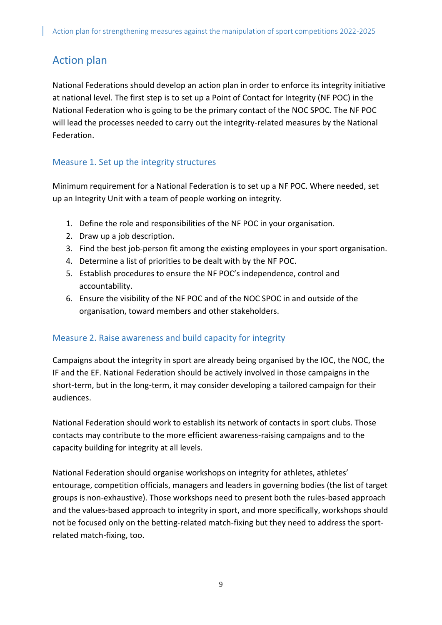## <span id="page-8-0"></span>Action plan

National Federations should develop an action plan in order to enforce its integrity initiative at national level. The first step is to set up a Point of Contact for Integrity (NF POC) in the National Federation who is going to be the primary contact of the NOC SPOC. The NF POC will lead the processes needed to carry out the integrity-related measures by the National Federation.

### <span id="page-8-1"></span>Measure 1. Set up the integrity structures

Minimum requirement for a National Federation is to set up a NF POC. Where needed, set up an Integrity Unit with a team of people working on integrity.

- 1. Define the role and responsibilities of the NF POC in your organisation.
- 2. Draw up a job description.
- 3. Find the best job-person fit among the existing employees in your sport organisation.
- 4. Determine a list of priorities to be dealt with by the NF POC.
- 5. Establish procedures to ensure the NF POC's independence, control and accountability.
- 6. Ensure the visibility of the NF POC and of the NOC SPOC in and outside of the organisation, toward members and other stakeholders.

### <span id="page-8-2"></span>Measure 2. Raise awareness and build capacity for integrity

Campaigns about the integrity in sport are already being organised by the IOC, the NOC, the IF and the EF. National Federation should be actively involved in those campaigns in the short-term, but in the long-term, it may consider developing a tailored campaign for their audiences.

National Federation should work to establish its network of contacts in sport clubs. Those contacts may contribute to the more efficient awareness-raising campaigns and to the capacity building for integrity at all levels.

National Federation should organise workshops on integrity for athletes, athletes' entourage, competition officials, managers and leaders in governing bodies (the list of target groups is non-exhaustive). Those workshops need to present both the rules-based approach and the values-based approach to integrity in sport, and more specifically, workshops should not be focused only on the betting-related match-fixing but they need to address the sportrelated match-fixing, too.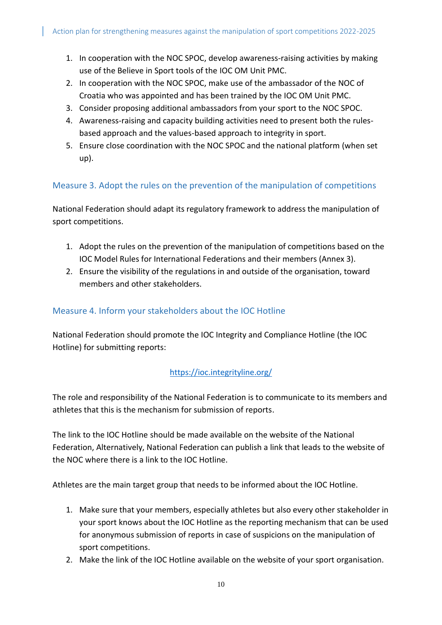- 1. In cooperation with the NOC SPOC, develop awareness-raising activities by making use of the Believe in Sport tools of the IOC OM Unit PMC.
- 2. In cooperation with the NOC SPOC, make use of the ambassador of the NOC of Croatia who was appointed and has been trained by the IOC OM Unit PMC.
- 3. Consider proposing additional ambassadors from your sport to the NOC SPOC.
- 4. Awareness-raising and capacity building activities need to present both the rulesbased approach and the values-based approach to integrity in sport.
- 5. Ensure close coordination with the NOC SPOC and the national platform (when set up).

### <span id="page-9-0"></span>Measure 3. Adopt the rules on the prevention of the manipulation of competitions

National Federation should adapt its regulatory framework to address the manipulation of sport competitions.

- 1. Adopt the rules on the prevention of the manipulation of competitions based on the IOC Model Rules for International Federations and their members (Annex 3).
- 2. Ensure the visibility of the regulations in and outside of the organisation, toward members and other stakeholders.

### <span id="page-9-1"></span>Measure 4. Inform your stakeholders about the IOC Hotline

National Federation should promote the IOC Integrity and Compliance Hotline (the IOC Hotline) for submitting reports:

### <https://ioc.integrityline.org/>

The role and responsibility of the National Federation is to communicate to its members and athletes that this is the mechanism for submission of reports.

The link to the IOC Hotline should be made available on the website of the National Federation, Alternatively, National Federation can publish a link that leads to the website of the NOC where there is a link to the IOC Hotline.

Athletes are the main target group that needs to be informed about the IOC Hotline.

- 1. Make sure that your members, especially athletes but also every other stakeholder in your sport knows about the IOC Hotline as the reporting mechanism that can be used for anonymous submission of reports in case of suspicions on the manipulation of sport competitions.
- 2. Make the link of the IOC Hotline available on the website of your sport organisation.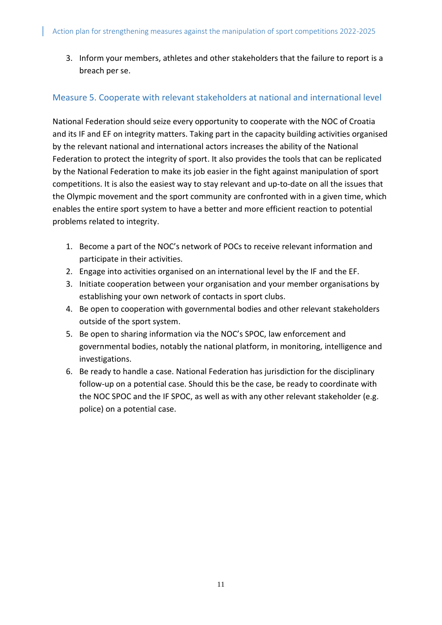3. Inform your members, athletes and other stakeholders that the failure to report is a breach per se.

### <span id="page-10-0"></span>Measure 5. Cooperate with relevant stakeholders at national and international level

National Federation should seize every opportunity to cooperate with the NOC of Croatia and its IF and EF on integrity matters. Taking part in the capacity building activities organised by the relevant national and international actors increases the ability of the National Federation to protect the integrity of sport. It also provides the tools that can be replicated by the National Federation to make its job easier in the fight against manipulation of sport competitions. It is also the easiest way to stay relevant and up-to-date on all the issues that the Olympic movement and the sport community are confronted with in a given time, which enables the entire sport system to have a better and more efficient reaction to potential problems related to integrity.

- 1. Become a part of the NOC's network of POCs to receive relevant information and participate in their activities.
- 2. Engage into activities organised on an international level by the IF and the EF.
- 3. Initiate cooperation between your organisation and your member organisations by establishing your own network of contacts in sport clubs.
- 4. Be open to cooperation with governmental bodies and other relevant stakeholders outside of the sport system.
- 5. Be open to sharing information via the NOC's SPOC, law enforcement and governmental bodies, notably the national platform, in monitoring, intelligence and investigations.
- 6. Be ready to handle a case. National Federation has jurisdiction for the disciplinary follow-up on a potential case. Should this be the case, be ready to coordinate with the NOC SPOC and the IF SPOC, as well as with any other relevant stakeholder (e.g. police) on a potential case.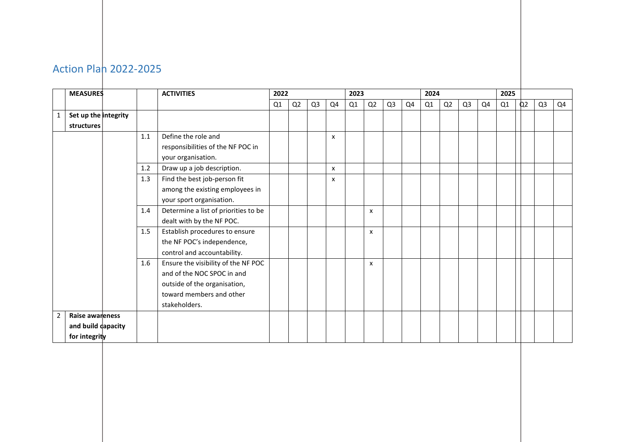<span id="page-11-0"></span>

|                | <b>MEASURES</b>      |     | <b>ACTIVITIES</b>                    |    | 2022 |                |    | 2023 |    |                |    | 2024 |    |                |    | 2025 |                |                |    |
|----------------|----------------------|-----|--------------------------------------|----|------|----------------|----|------|----|----------------|----|------|----|----------------|----|------|----------------|----------------|----|
|                |                      |     |                                      | Q1 | Q2   | Q <sub>3</sub> | Q4 | Q1   | Q2 | Q <sub>3</sub> | Q4 | Q1   | Q2 | Q <sub>3</sub> | Q4 | Q1   | Q <sub>2</sub> | Q <sub>3</sub> | Q4 |
| 1              | Set up the integrity |     |                                      |    |      |                |    |      |    |                |    |      |    |                |    |      |                |                |    |
|                | structures           |     |                                      |    |      |                |    |      |    |                |    |      |    |                |    |      |                |                |    |
|                |                      | 1.1 | Define the role and                  |    |      |                | x  |      |    |                |    |      |    |                |    |      |                |                |    |
|                |                      |     | responsibilities of the NF POC in    |    |      |                |    |      |    |                |    |      |    |                |    |      |                |                |    |
|                |                      |     | your organisation.                   |    |      |                |    |      |    |                |    |      |    |                |    |      |                |                |    |
|                |                      | 1.2 | Draw up a job description.           |    |      |                | x  |      |    |                |    |      |    |                |    |      |                |                |    |
|                |                      | 1.3 | Find the best job-person fit         |    |      |                | x  |      |    |                |    |      |    |                |    |      |                |                |    |
|                |                      |     | among the existing employees in      |    |      |                |    |      |    |                |    |      |    |                |    |      |                |                |    |
|                |                      |     | your sport organisation.             |    |      |                |    |      |    |                |    |      |    |                |    |      |                |                |    |
|                |                      | 1.4 | Determine a list of priorities to be |    |      |                |    |      | x  |                |    |      |    |                |    |      |                |                |    |
|                |                      |     | dealt with by the NF POC.            |    |      |                |    |      |    |                |    |      |    |                |    |      |                |                |    |
|                |                      | 1.5 | Establish procedures to ensure       |    |      |                |    |      | x  |                |    |      |    |                |    |      |                |                |    |
|                |                      |     | the NF POC's independence,           |    |      |                |    |      |    |                |    |      |    |                |    |      |                |                |    |
|                |                      |     | control and accountability.          |    |      |                |    |      |    |                |    |      |    |                |    |      |                |                |    |
|                |                      | 1.6 | Ensure the visibility of the NF POC  |    |      |                |    |      | x  |                |    |      |    |                |    |      |                |                |    |
|                |                      |     | and of the NOC SPOC in and           |    |      |                |    |      |    |                |    |      |    |                |    |      |                |                |    |
|                |                      |     | outside of the organisation,         |    |      |                |    |      |    |                |    |      |    |                |    |      |                |                |    |
|                |                      |     | toward members and other             |    |      |                |    |      |    |                |    |      |    |                |    |      |                |                |    |
|                |                      |     | stakeholders.                        |    |      |                |    |      |    |                |    |      |    |                |    |      |                |                |    |
| $\overline{2}$ | Raise awareness      |     |                                      |    |      |                |    |      |    |                |    |      |    |                |    |      |                |                |    |
|                | and build dapacity   |     |                                      |    |      |                |    |      |    |                |    |      |    |                |    |      |                |                |    |
|                | for integrity        |     |                                      |    |      |                |    |      |    |                |    |      |    |                |    |      |                |                |    |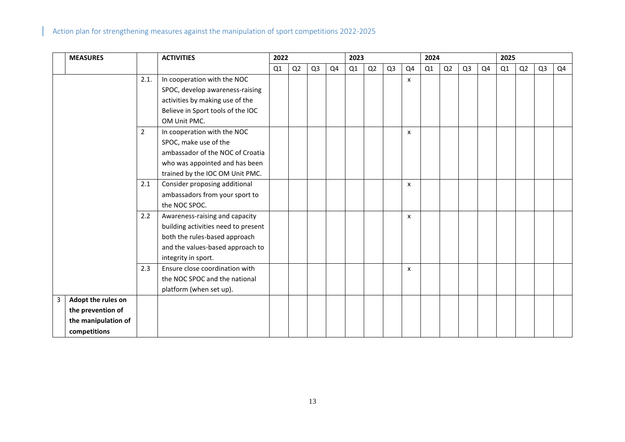|   | <b>MEASURES</b>     |                | <b>ACTIVITIES</b>                   | 2022 |    |                |    | 2023 |    |                |    | 2024           |    |                |    | 2025 |                |                |    |  |
|---|---------------------|----------------|-------------------------------------|------|----|----------------|----|------|----|----------------|----|----------------|----|----------------|----|------|----------------|----------------|----|--|
|   |                     |                |                                     | Q1   | Q2 | Q <sub>3</sub> | Q4 | Q1   | Q2 | Q <sub>3</sub> | Q4 | Q <sub>1</sub> | Q2 | Q <sub>3</sub> | Q4 | Q1   | Q <sub>2</sub> | Q <sub>3</sub> | Q4 |  |
|   |                     | 2.1.           | In cooperation with the NOC         |      |    |                |    |      |    |                | X  |                |    |                |    |      |                |                |    |  |
|   |                     |                | SPOC, develop awareness-raising     |      |    |                |    |      |    |                |    |                |    |                |    |      |                |                |    |  |
|   |                     |                | activities by making use of the     |      |    |                |    |      |    |                |    |                |    |                |    |      |                |                |    |  |
|   |                     |                | Believe in Sport tools of the IOC   |      |    |                |    |      |    |                |    |                |    |                |    |      |                |                |    |  |
|   |                     |                | OM Unit PMC.                        |      |    |                |    |      |    |                |    |                |    |                |    |      |                |                |    |  |
|   |                     | $\overline{2}$ | In cooperation with the NOC         |      |    |                |    |      |    |                | x  |                |    |                |    |      |                |                |    |  |
|   |                     |                | SPOC, make use of the               |      |    |                |    |      |    |                |    |                |    |                |    |      |                |                |    |  |
|   |                     |                | ambassador of the NOC of Croatia    |      |    |                |    |      |    |                |    |                |    |                |    |      |                |                |    |  |
|   |                     |                | who was appointed and has been      |      |    |                |    |      |    |                |    |                |    |                |    |      |                |                |    |  |
|   |                     |                | trained by the IOC OM Unit PMC.     |      |    |                |    |      |    |                |    |                |    |                |    |      |                |                |    |  |
|   |                     | 2.1            | Consider proposing additional       |      |    |                |    |      |    |                | x  |                |    |                |    |      |                |                |    |  |
|   |                     |                | ambassadors from your sport to      |      |    |                |    |      |    |                |    |                |    |                |    |      |                |                |    |  |
|   |                     |                | the NOC SPOC.                       |      |    |                |    |      |    |                |    |                |    |                |    |      |                |                |    |  |
|   |                     | 2.2            | Awareness-raising and capacity      |      |    |                |    |      |    |                | X  |                |    |                |    |      |                |                |    |  |
|   |                     |                | building activities need to present |      |    |                |    |      |    |                |    |                |    |                |    |      |                |                |    |  |
|   |                     |                | both the rules-based approach       |      |    |                |    |      |    |                |    |                |    |                |    |      |                |                |    |  |
|   |                     |                | and the values-based approach to    |      |    |                |    |      |    |                |    |                |    |                |    |      |                |                |    |  |
|   |                     |                | integrity in sport.                 |      |    |                |    |      |    |                |    |                |    |                |    |      |                |                |    |  |
|   |                     | 2.3            | Ensure close coordination with      |      |    |                |    |      |    |                | X  |                |    |                |    |      |                |                |    |  |
|   |                     |                | the NOC SPOC and the national       |      |    |                |    |      |    |                |    |                |    |                |    |      |                |                |    |  |
|   |                     |                | platform (when set up).             |      |    |                |    |      |    |                |    |                |    |                |    |      |                |                |    |  |
| 3 | Adopt the rules on  |                |                                     |      |    |                |    |      |    |                |    |                |    |                |    |      |                |                |    |  |
|   | the prevention of   |                |                                     |      |    |                |    |      |    |                |    |                |    |                |    |      |                |                |    |  |
|   | the manipulation of |                |                                     |      |    |                |    |      |    |                |    |                |    |                |    |      |                |                |    |  |
|   | competitions        |                |                                     |      |    |                |    |      |    |                |    |                |    |                |    |      |                |                |    |  |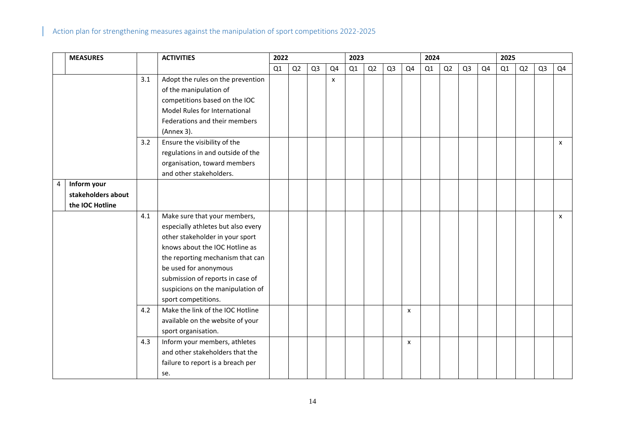|                | <b>MEASURES</b>    |     | <b>ACTIVITIES</b>                                                                                                                                                                                                                                                                                    | 2022 |    |                | 2023 |    |    |                | 2024           |    |    |                | 2025 |    |    |                |    |
|----------------|--------------------|-----|------------------------------------------------------------------------------------------------------------------------------------------------------------------------------------------------------------------------------------------------------------------------------------------------------|------|----|----------------|------|----|----|----------------|----------------|----|----|----------------|------|----|----|----------------|----|
|                |                    |     |                                                                                                                                                                                                                                                                                                      | Q1   | Q2 | Q <sub>3</sub> | Q4   | Q1 | Q2 | Q <sub>3</sub> | Q4             | Q1 | Q2 | Q <sub>3</sub> | Q4   | Q1 | Q2 | Q <sub>3</sub> | Q4 |
|                |                    | 3.1 | Adopt the rules on the prevention<br>of the manipulation of<br>competitions based on the IOC<br>Model Rules for International<br>Federations and their members<br>(Annex 3).                                                                                                                         |      |    |                | X    |    |    |                |                |    |    |                |      |    |    |                |    |
|                |                    | 3.2 | Ensure the visibility of the<br>regulations in and outside of the<br>organisation, toward members<br>and other stakeholders.                                                                                                                                                                         |      |    |                |      |    |    |                |                |    |    |                |      |    |    |                | x  |
| $\overline{4}$ | Inform your        |     |                                                                                                                                                                                                                                                                                                      |      |    |                |      |    |    |                |                |    |    |                |      |    |    |                |    |
|                | stakeholders about |     |                                                                                                                                                                                                                                                                                                      |      |    |                |      |    |    |                |                |    |    |                |      |    |    |                |    |
|                | the IOC Hotline    |     |                                                                                                                                                                                                                                                                                                      |      |    |                |      |    |    |                |                |    |    |                |      |    |    |                |    |
|                |                    | 4.1 | Make sure that your members,<br>especially athletes but also every<br>other stakeholder in your sport<br>knows about the IOC Hotline as<br>the reporting mechanism that can<br>be used for anonymous<br>submission of reports in case of<br>suspicions on the manipulation of<br>sport competitions. |      |    |                |      |    |    |                |                |    |    |                |      |    |    |                | X  |
|                |                    | 4.2 | Make the link of the IOC Hotline<br>available on the website of your<br>sport organisation.                                                                                                                                                                                                          |      |    |                |      |    |    |                | $\pmb{\times}$ |    |    |                |      |    |    |                |    |
|                |                    | 4.3 | Inform your members, athletes<br>and other stakeholders that the<br>failure to report is a breach per<br>se.                                                                                                                                                                                         |      |    |                |      |    |    |                | $\pmb{\times}$ |    |    |                |      |    |    |                |    |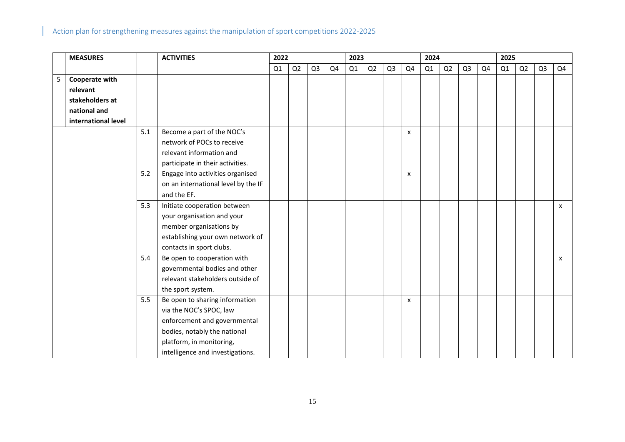|   | <b>MEASURES</b>     |     | <b>ACTIVITIES</b>                   |    | 2022 |                |    | 2023 |    |                |                           | 2024 |    |                |    | 2025 |    |                |              |  |
|---|---------------------|-----|-------------------------------------|----|------|----------------|----|------|----|----------------|---------------------------|------|----|----------------|----|------|----|----------------|--------------|--|
|   |                     |     |                                     | Q1 | Q2   | Q <sub>3</sub> | Q4 | Q1   | Q2 | Q <sub>3</sub> | Q4                        | Q1   | Q2 | Q <sub>3</sub> | Q4 | Q1   | Q2 | Q <sub>3</sub> | Q4           |  |
| 5 | Cooperate with      |     |                                     |    |      |                |    |      |    |                |                           |      |    |                |    |      |    |                |              |  |
|   | relevant            |     |                                     |    |      |                |    |      |    |                |                           |      |    |                |    |      |    |                |              |  |
|   | stakeholders at     |     |                                     |    |      |                |    |      |    |                |                           |      |    |                |    |      |    |                |              |  |
|   | national and        |     |                                     |    |      |                |    |      |    |                |                           |      |    |                |    |      |    |                |              |  |
|   | international level |     |                                     |    |      |                |    |      |    |                |                           |      |    |                |    |      |    |                |              |  |
|   |                     | 5.1 | Become a part of the NOC's          |    |      |                |    |      |    |                | X                         |      |    |                |    |      |    |                |              |  |
|   |                     |     | network of POCs to receive          |    |      |                |    |      |    |                |                           |      |    |                |    |      |    |                |              |  |
|   |                     |     | relevant information and            |    |      |                |    |      |    |                |                           |      |    |                |    |      |    |                |              |  |
|   |                     |     | participate in their activities.    |    |      |                |    |      |    |                |                           |      |    |                |    |      |    |                |              |  |
|   |                     | 5.2 | Engage into activities organised    |    |      |                |    |      |    |                | x                         |      |    |                |    |      |    |                |              |  |
|   |                     |     | on an international level by the IF |    |      |                |    |      |    |                |                           |      |    |                |    |      |    |                |              |  |
|   |                     |     | and the EF.                         |    |      |                |    |      |    |                |                           |      |    |                |    |      |    |                |              |  |
|   |                     | 5.3 | Initiate cooperation between        |    |      |                |    |      |    |                |                           |      |    |                |    |      |    |                | $\mathsf{x}$ |  |
|   |                     |     | your organisation and your          |    |      |                |    |      |    |                |                           |      |    |                |    |      |    |                |              |  |
|   |                     |     | member organisations by             |    |      |                |    |      |    |                |                           |      |    |                |    |      |    |                |              |  |
|   |                     |     | establishing your own network of    |    |      |                |    |      |    |                |                           |      |    |                |    |      |    |                |              |  |
|   |                     |     | contacts in sport clubs.            |    |      |                |    |      |    |                |                           |      |    |                |    |      |    |                |              |  |
|   |                     | 5.4 | Be open to cooperation with         |    |      |                |    |      |    |                |                           |      |    |                |    |      |    |                | $\mathsf{x}$ |  |
|   |                     |     | governmental bodies and other       |    |      |                |    |      |    |                |                           |      |    |                |    |      |    |                |              |  |
|   |                     |     | relevant stakeholders outside of    |    |      |                |    |      |    |                |                           |      |    |                |    |      |    |                |              |  |
|   |                     |     | the sport system.                   |    |      |                |    |      |    |                |                           |      |    |                |    |      |    |                |              |  |
|   |                     | 5.5 | Be open to sharing information      |    |      |                |    |      |    |                | $\boldsymbol{\mathsf{x}}$ |      |    |                |    |      |    |                |              |  |
|   |                     |     | via the NOC's SPOC, law             |    |      |                |    |      |    |                |                           |      |    |                |    |      |    |                |              |  |
|   |                     |     | enforcement and governmental        |    |      |                |    |      |    |                |                           |      |    |                |    |      |    |                |              |  |
|   |                     |     | bodies, notably the national        |    |      |                |    |      |    |                |                           |      |    |                |    |      |    |                |              |  |
|   |                     |     | platform, in monitoring,            |    |      |                |    |      |    |                |                           |      |    |                |    |      |    |                |              |  |
|   |                     |     | intelligence and investigations.    |    |      |                |    |      |    |                |                           |      |    |                |    |      |    |                |              |  |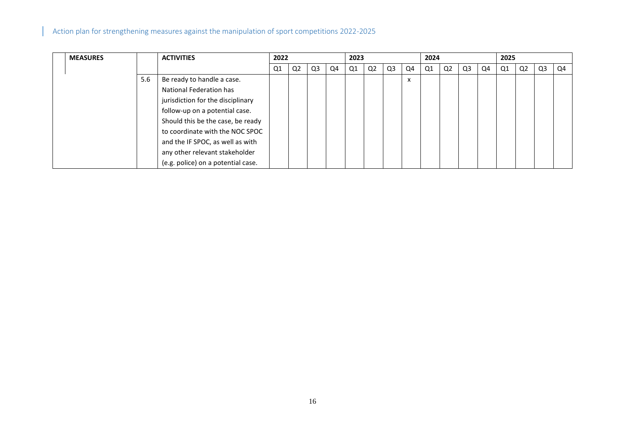| <b>MEASURES</b> |     | <b>ACTIVITIES</b>                  | 2022 |    |    | 2023 |                |                |    | 2024 |    |    |    | 2025 |    |    |    |    |
|-----------------|-----|------------------------------------|------|----|----|------|----------------|----------------|----|------|----|----|----|------|----|----|----|----|
|                 |     |                                    | Q1   | Q2 | Q3 | Q4   | Q <sub>1</sub> | Q <sub>2</sub> | Q3 | Q4   | Q1 | Q2 | Q3 | Q4   | Q1 | Q2 | Q3 | Q4 |
|                 | 5.6 | Be ready to handle a case.         |      |    |    |      |                |                |    | X    |    |    |    |      |    |    |    |    |
|                 |     | National Federation has            |      |    |    |      |                |                |    |      |    |    |    |      |    |    |    |    |
|                 |     | jurisdiction for the disciplinary  |      |    |    |      |                |                |    |      |    |    |    |      |    |    |    |    |
|                 |     | follow-up on a potential case.     |      |    |    |      |                |                |    |      |    |    |    |      |    |    |    |    |
|                 |     | Should this be the case, be ready  |      |    |    |      |                |                |    |      |    |    |    |      |    |    |    |    |
|                 |     | to coordinate with the NOC SPOC    |      |    |    |      |                |                |    |      |    |    |    |      |    |    |    |    |
|                 |     | and the IF SPOC, as well as with   |      |    |    |      |                |                |    |      |    |    |    |      |    |    |    |    |
|                 |     | any other relevant stakeholder     |      |    |    |      |                |                |    |      |    |    |    |      |    |    |    |    |
|                 |     | (e.g. police) on a potential case. |      |    |    |      |                |                |    |      |    |    |    |      |    |    |    |    |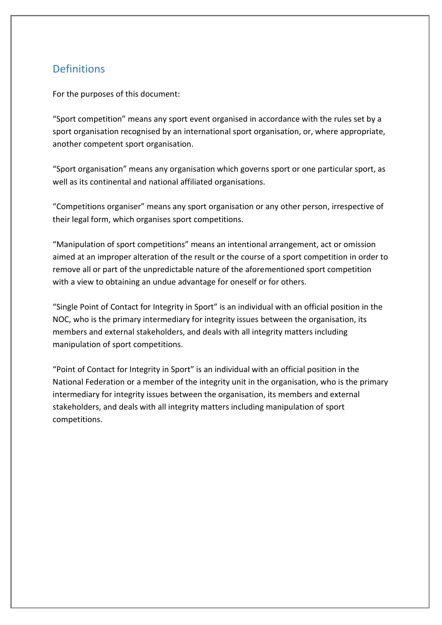### <span id="page-16-0"></span>**Definitions**

For the purposes of this document:

"Sport competition" means any sport event organised in accordance with the rules set by a sport organisation recognised by an international sport organisation, or, where appropriate, another competent sport organisation.

"Sport organisation" means any organisation which governs sport or one particular sport, as well as its continental and national affiliated organisations.

"Competitions organiser" means any sport organisation or any other person, irrespective of their legal form, which organises sport competitions.

"Manipulation of sport competitions" means an intentional arrangement, act or omission aimed at an improper alteration of the result or the course of a sport competition in order to remove all or part of the unpredictable nature of the aforementioned sport competition with a view to obtaining an undue advantage for oneself or for others.

"Single Point of Contact for Integrity in Sport" is an individual with an official position in the NOC, who is the primary intermediary for integrity issues between the organisation, its members and external stakeholders, and deals with all integrity matters including manipulation of sport competitions.

"Point of Contact for Integrity in Sport" is an individual with an official position in the National Federation or a member of the integrity unit in the organisation, who is the primary intermediary for integrity issues between the organisation, its members and external stakeholders, and deals with all integrity matters including manipulation of sport competitions.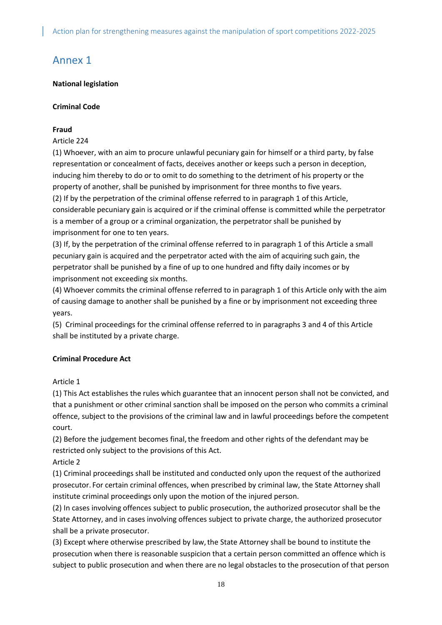## <span id="page-17-0"></span>Annex 1

#### **National legislation**

#### **Criminal Code**

### **Fraud**

#### Article 224

(1) Whoever, with an aim to procure unlawful pecuniary gain for himself or a third party, by false representation or concealment of facts, deceives another or keeps such a person in deception, inducing him thereby to do or to omit to do something to the detriment of his property or the property of another, shall be punished by imprisonment for three months to five years. (2) If by the perpetration of the criminal offense referred to in paragraph 1 of this Article, considerable pecuniary gain is acquired or if the criminal offense is committed while the perpetrator is a member of a group or a criminal organization, the perpetrator shall be punished by imprisonment for one to ten years.

(3) If, by the perpetration of the criminal offense referred to in paragraph 1 of this Article a small pecuniary gain is acquired and the perpetrator acted with the aim of acquiring such gain, the perpetrator shall be punished by a fine of up to one hundred and fifty daily incomes or by imprisonment not exceeding six months.

(4) Whoever commits the criminal offense referred to in paragraph 1 of this Article only with the aim of causing damage to another shall be punished by a fine or by imprisonment not exceeding three years.

(5) Criminal proceedings for the criminal offense referred to in paragraphs 3 and 4 of this Article shall be instituted by a private charge.

### **Criminal Procedure Act**

### Article 1

(1) This Act establishes the rules which guarantee that an innocent person shall not be convicted, and that a punishment or other criminal sanction shall be imposed on the person who commits a criminal offence, subject to the provisions of the criminal law and in lawful proceedings before the competent court.

(2) Before the judgement becomes final, the freedom and other rights of the defendant may be restricted only subject to the provisions of this Act.

Article 2

(1) Criminal proceedings shall be instituted and conducted only upon the request of the authorized prosecutor. For certain criminal offences, when prescribed by criminal law, the State Attorney shall institute criminal proceedings only upon the motion of the injured person.

(2) In cases involving offences subject to public prosecution, the authorized prosecutor shall be the State Attorney, and in cases involving offences subject to private charge, the authorized prosecutor shall be a private prosecutor.

(3) Except where otherwise prescribed by law,the State Attorney shall be bound to institute the prosecution when there is reasonable suspicion that a certain person committed an offence which is subject to public prosecution and when there are no legal obstacles to the prosecution of that person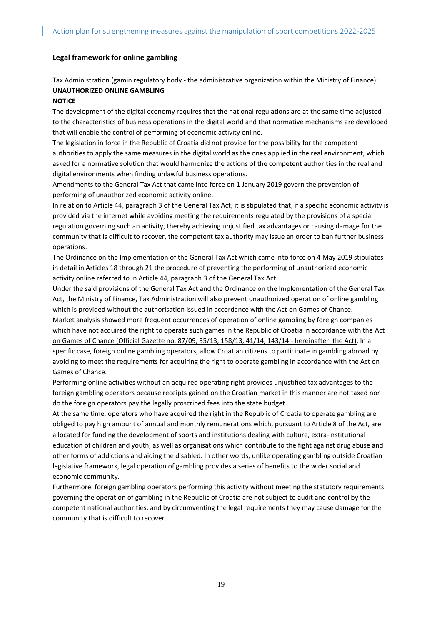#### **Legal framework for online gambling**

Tax Administration (gamin regulatory body - the administrative organization within the Ministry of Finance): **UNAUTHORIZED ONLINE GAMBLING**

#### **NOTICE**

The development of the digital economy requires that the national regulations are at the same time adjusted to the characteristics of business operations in the digital world and that normative mechanisms are developed that will enable the control of performing of economic activity online.

The legislation in force in the Republic of Croatia did not provide for the possibility for the competent authorities to apply the same measures in the digital world as the ones applied in the real environment, which asked for a normative solution that would harmonize the actions of the competent authorities in the real and digital environments when finding unlawful business operations.

Amendments to the General Tax Act that came into force on 1 January 2019 govern the prevention of performing of unauthorized economic activity online.

In relation to Article 44, paragraph 3 of the General Tax Act, it is stipulated that, if a specific economic activity is provided via the internet while avoiding meeting the requirements regulated by the provisions of a special regulation governing such an activity, thereby achieving unjustified tax advantages or causing damage for the community that is difficult to recover, the competent tax authority may issue an order to ban further business operations.

The Ordinance on the Implementation of the General Tax Act which came into force on 4 May 2019 stipulates in detail in Articles 18 through 21 the procedure of preventing the performing of unauthorized economic activity online referred to in Article 44, paragraph 3 of the General Tax Act.

Under the said provisions of the General Tax Act and the Ordinance on the Implementation of the General Tax Act, the Ministry of Finance, Tax Administration will also prevent unauthorized operation of online gambling which is provided without the authorisation issued in accordance with the Act on Games of Chance. Market analysis showed more frequent occurrences of operation of online gambling by foreign companies which have not acquired the right to operate such games in the Republic of Croatia in accordance with the [Act](https://www.porezna-uprava.hr/en_propisi/_layouts/in2.vuk2019.sp.propisi.intranet/propisi.aspx#id=pro140)  [on Games of Chance \(Official Gazette no. 87/09, 35/13, 158/13, 41/14, 143/14 -](https://www.porezna-uprava.hr/en_propisi/_layouts/in2.vuk2019.sp.propisi.intranet/propisi.aspx#id=pro140) hereinafter: the Act). In a specific case, foreign online gambling operators, allow Croatian citizens to participate in gambling abroad by avoiding to meet the requirements for acquiring the right to operate gambling in accordance with the Act on Games of Chance.

Performing online activities without an acquired operating right provides unjustified tax advantages to the foreign gambling operators because receipts gained on the Croatian market in this manner are not taxed nor do the foreign operators pay the legally proscribed fees into the state budget.

At the same time, operators who have acquired the right in the Republic of Croatia to operate gambling are obliged to pay high amount of annual and monthly remunerations which, pursuant to Article 8 of the Act, are allocated for funding the development of sports and institutions dealing with culture, extra-institutional education of children and youth, as well as organisations which contribute to the fight against drug abuse and other forms of addictions and aiding the disabled. In other words, unlike operating gambling outside Croatian legislative framework, legal operation of gambling provides a series of benefits to the wider social and economic community.

Furthermore, foreign gambling operators performing this activity without meeting the statutory requirements governing the operation of gambling in the Republic of Croatia are not subject to audit and control by the competent national authorities, and by circumventing the legal requirements they may cause damage for the community that is difficult to recover.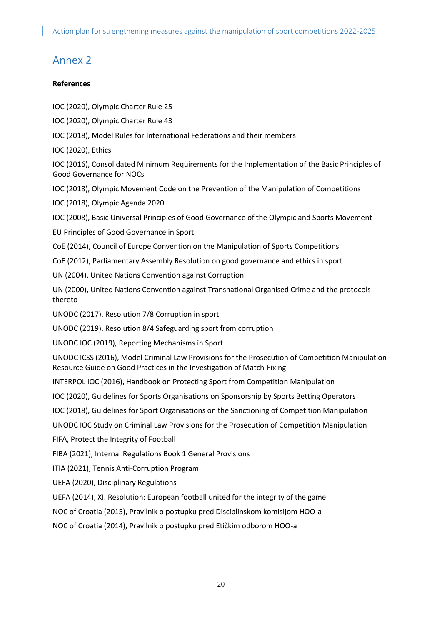### <span id="page-19-0"></span>Annex 2

#### **References**

- IOC (2020), Olympic Charter Rule 25
- IOC (2020), Olympic Charter Rule 43
- IOC (2018), Model Rules for International Federations and their members
- IOC (2020), Ethics

IOC (2016), Consolidated Minimum Requirements for the Implementation of the Basic Principles of Good Governance for NOCs

- IOC (2018), Olympic Movement Code on the Prevention of the Manipulation of Competitions
- IOC (2018), Olympic Agenda 2020

IOC (2008), Basic Universal Principles of Good Governance of the Olympic and Sports Movement

- EU Principles of Good Governance in Sport
- CoE (2014), Council of Europe Convention on the Manipulation of Sports Competitions
- CoE (2012), Parliamentary Assembly Resolution on good governance and ethics in sport
- UN (2004), United Nations Convention against Corruption
- UN (2000), United Nations Convention against Transnational Organised Crime and the protocols thereto
- UNODC (2017), Resolution 7/8 Corruption in sport
- UNODC (2019), Resolution 8/4 Safeguarding sport from corruption
- UNODC IOC (2019), Reporting Mechanisms in Sport
- UNODC ICSS (2016), Model Criminal Law Provisions for the Prosecution of Competition Manipulation Resource Guide on Good Practices in the Investigation of Match-Fixing
- INTERPOL IOC (2016), Handbook on Protecting Sport from Competition Manipulation
- IOC (2020), Guidelines for Sports Organisations on Sponsorship by Sports Betting Operators
- IOC (2018), Guidelines for Sport Organisations on the Sanctioning of Competition Manipulation
- UNODC IOC Study on Criminal Law Provisions for the Prosecution of Competition Manipulation
- FIFA, Protect the Integrity of Football
- FIBA (2021), Internal Regulations Book 1 General Provisions
- ITIA (2021), Tennis Anti-Corruption Program
- UEFA (2020), Disciplinary Regulations
- UEFA (2014), XI. Resolution: European football united for the integrity of the game
- NOC of Croatia (2015), Pravilnik o postupku pred Disciplinskom komisijom HOO-a
- NOC of Croatia (2014), Pravilnik o postupku pred Etičkim odborom HOO-a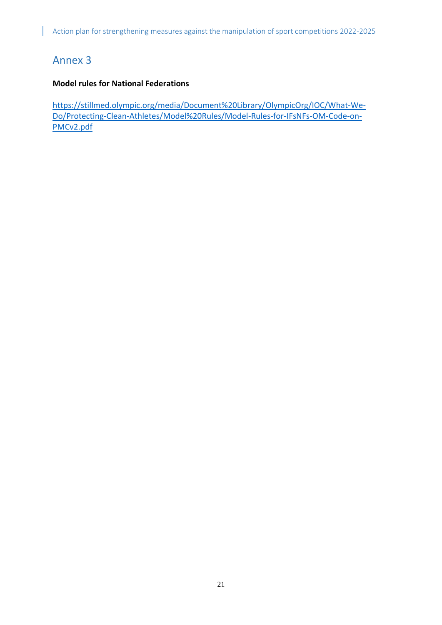## <span id="page-20-0"></span>Annex 3

### **Model rules for National Federations**

[https://stillmed.olympic.org/media/Document%20Library/OlympicOrg/IOC/What-We-](https://stillmed.olympic.org/media/Document%20Library/OlympicOrg/IOC/What-We-Do/Protecting-Clean-Athletes/Model%20Rules/Model-Rules-for-IFsNFs-OM-Code-on-PMCv2.pdf)[Do/Protecting-Clean-Athletes/Model%20Rules/Model-Rules-for-IFsNFs-OM-Code-on-](https://stillmed.olympic.org/media/Document%20Library/OlympicOrg/IOC/What-We-Do/Protecting-Clean-Athletes/Model%20Rules/Model-Rules-for-IFsNFs-OM-Code-on-PMCv2.pdf)[PMCv2.pdf](https://stillmed.olympic.org/media/Document%20Library/OlympicOrg/IOC/What-We-Do/Protecting-Clean-Athletes/Model%20Rules/Model-Rules-for-IFsNFs-OM-Code-on-PMCv2.pdf)